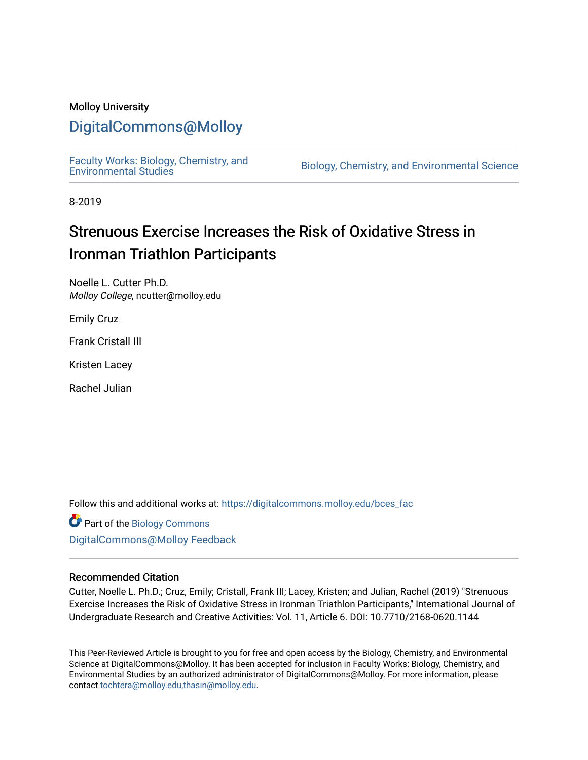### Molloy University

## [DigitalCommons@Molloy](https://digitalcommons.molloy.edu/)

[Faculty Works: Biology, Chemistry, and](https://digitalcommons.molloy.edu/bces_fac) 

Biology, Chemistry, and Environmental Science

8-2019

## Strenuous Exercise Increases the Risk of Oxidative Stress in Ironman Triathlon Participants

Noelle L. Cutter Ph.D. Molloy College, ncutter@molloy.edu

Emily Cruz

Frank Cristall III

Kristen Lacey

Rachel Julian

Follow this and additional works at: [https://digitalcommons.molloy.edu/bces\\_fac](https://digitalcommons.molloy.edu/bces_fac?utm_source=digitalcommons.molloy.edu%2Fbces_fac%2F42&utm_medium=PDF&utm_campaign=PDFCoverPages)

**Part of the Biology Commons** [DigitalCommons@Molloy Feedback](https://molloy.libwizard.com/f/dcfeedback)

#### Recommended Citation

Cutter, Noelle L. Ph.D.; Cruz, Emily; Cristall, Frank III; Lacey, Kristen; and Julian, Rachel (2019) "Strenuous Exercise Increases the Risk of Oxidative Stress in Ironman Triathlon Participants," International Journal of Undergraduate Research and Creative Activities: Vol. 11, Article 6. DOI: 10.7710/2168-0620.1144

This Peer-Reviewed Article is brought to you for free and open access by the Biology, Chemistry, and Environmental Science at DigitalCommons@Molloy. It has been accepted for inclusion in Faculty Works: Biology, Chemistry, and Environmental Studies by an authorized administrator of DigitalCommons@Molloy. For more information, please contact [tochtera@molloy.edu,thasin@molloy.edu.](mailto:tochtera@molloy.edu,thasin@molloy.edu)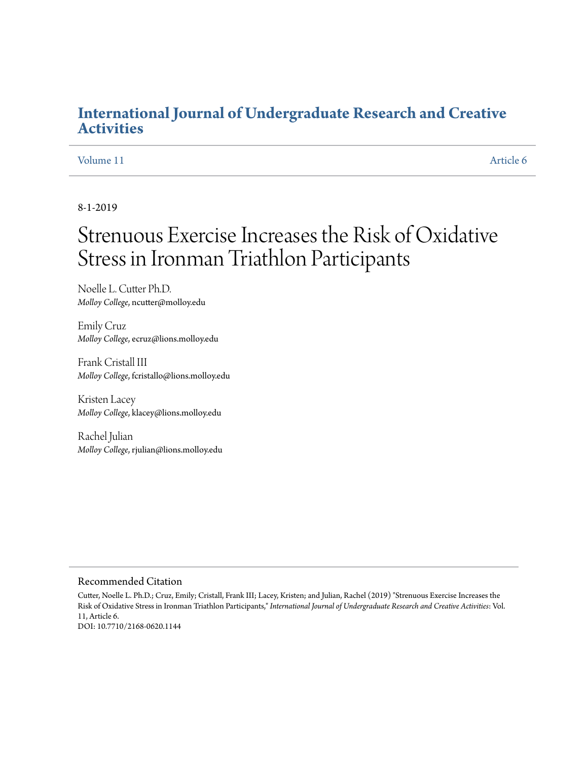## **[International Journal of Undergraduate Research and Creative](https://commons.pacificu.edu/ijurca?utm_source=commons.pacificu.edu%2Fijurca%2Fvol11%2Fiss1%2F6&utm_medium=PDF&utm_campaign=PDFCoverPages) [Activities](https://commons.pacificu.edu/ijurca?utm_source=commons.pacificu.edu%2Fijurca%2Fvol11%2Fiss1%2F6&utm_medium=PDF&utm_campaign=PDFCoverPages)**

## [Volume 11](https://commons.pacificu.edu/ijurca/vol11?utm_source=commons.pacificu.edu%2Fijurca%2Fvol11%2Fiss1%2F6&utm_medium=PDF&utm_campaign=PDFCoverPages) [Article 6](https://commons.pacificu.edu/ijurca/vol11/iss1/6?utm_source=commons.pacificu.edu%2Fijurca%2Fvol11%2Fiss1%2F6&utm_medium=PDF&utm_campaign=PDFCoverPages)

8-1-2019

# Strenuous Exercise Increases the Risk of Oxidative Stress in Ironman Triathlon Participants

Noelle L. Cutter Ph.D. *Molloy College*, ncutter@molloy.edu

Emily Cruz *Molloy College*, ecruz@lions.molloy.edu

Frank Cristall III *Molloy College*, fcristallo@lions.molloy.edu

Kristen Lacey *Molloy College*, klacey@lions.molloy.edu

Rachel Julian *Molloy College*, rjulian@lions.molloy.edu

#### Recommended Citation

Cutter, Noelle L. Ph.D.; Cruz, Emily; Cristall, Frank III; Lacey, Kristen; and Julian, Rachel (2019) "Strenuous Exercise Increases the Risk of Oxidative Stress in Ironman Triathlon Participants," *International Journal of Undergraduate Research and Creative Activities*: Vol. 11, Article 6. DOI: 10.7710/2168-0620.1144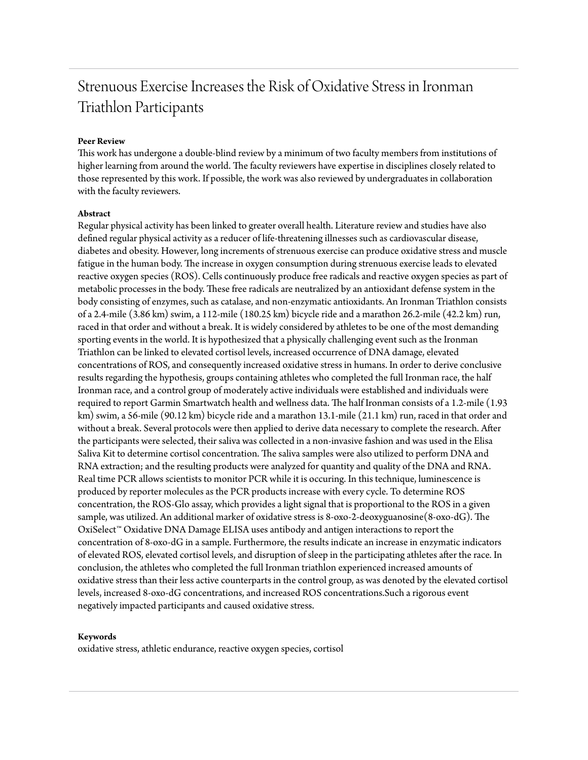## Strenuous Exercise Increases the Risk of Oxidative Stress in Ironman Triathlon Participants

#### **Peer Review**

This work has undergone a double-blind review by a minimum of two faculty members from institutions of higher learning from around the world. The faculty reviewers have expertise in disciplines closely related to those represented by this work. If possible, the work was also reviewed by undergraduates in collaboration with the faculty reviewers.

#### **Abstract**

Regular physical activity has been linked to greater overall health. Literature review and studies have also defined regular physical activity as a reducer of life-threatening illnesses such as cardiovascular disease, diabetes and obesity. However, long increments of strenuous exercise can produce oxidative stress and muscle fatigue in the human body. The increase in oxygen consumption during strenuous exercise leads to elevated reactive oxygen species (ROS). Cells continuously produce free radicals and reactive oxygen species as part of metabolic processes in the body. These free radicals are neutralized by an antioxidant defense system in the body consisting of enzymes, such as catalase, and non-enzymatic antioxidants. An Ironman Triathlon consists of a 2.4-mile (3.86 km) swim, a 112-mile (180.25 km) bicycle ride and a marathon 26.2-mile (42.2 km) run, raced in that order and without a break. It is widely considered by athletes to be one of the most demanding sporting events in the world. It is hypothesized that a physically challenging event such as the Ironman Triathlon can be linked to elevated cortisol levels, increased occurrence of DNA damage, elevated concentrations of ROS, and consequently increased oxidative stress in humans. In order to derive conclusive results regarding the hypothesis, groups containing athletes who completed the full Ironman race, the half Ironman race, and a control group of moderately active individuals were established and individuals were required to report Garmin Smartwatch health and wellness data. The half Ironman consists of a 1.2-mile (1.93 km) swim, a 56-mile (90.12 km) bicycle ride and a marathon 13.1-mile (21.1 km) run, raced in that order and without a break. Several protocols were then applied to derive data necessary to complete the research. After the participants were selected, their saliva was collected in a non-invasive fashion and was used in the Elisa Saliva Kit to determine cortisol concentration. The saliva samples were also utilized to perform DNA and RNA extraction; and the resulting products were analyzed for quantity and quality of the DNA and RNA. Real time PCR allows scientists to monitor PCR while it is occuring. In this technique, luminescence is produced by reporter molecules as the PCR products increase with every cycle. To determine ROS concentration, the ROS-Glo assay, which provides a light signal that is proportional to the ROS in a given sample, was utilized. An additional marker of oxidative stress is 8-oxo-2-deoxyguanosine(8-oxo-dG). The OxiSelect™ Oxidative DNA Damage ELISA uses antibody and antigen interactions to report the concentration of 8-oxo-dG in a sample. Furthermore, the results indicate an increase in enzymatic indicators of elevated ROS, elevated cortisol levels, and disruption of sleep in the participating athletes after the race. In conclusion, the athletes who completed the full Ironman triathlon experienced increased amounts of oxidative stress than their less active counterparts in the control group, as was denoted by the elevated cortisol levels, increased 8-oxo-dG concentrations, and increased ROS concentrations.Such a rigorous event negatively impacted participants and caused oxidative stress.

#### **Keywords**

oxidative stress, athletic endurance, reactive oxygen species, cortisol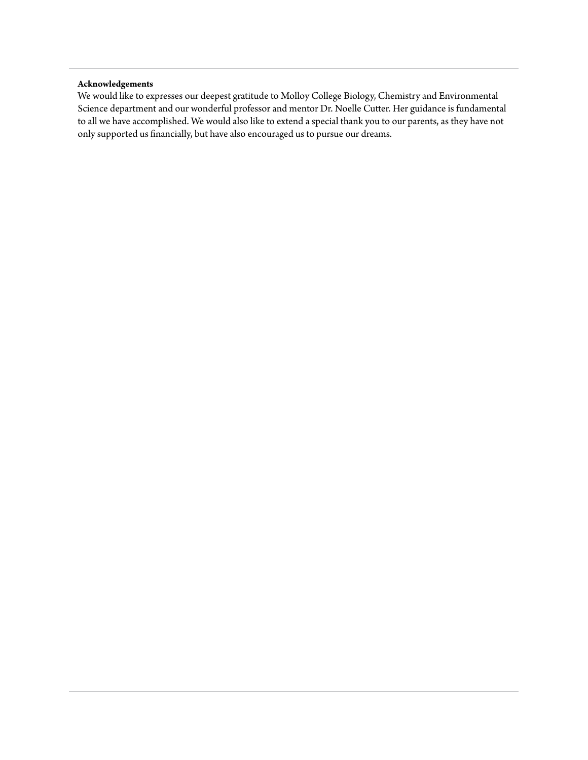#### **Acknowledgements**

We would like to expresses our deepest gratitude to Molloy College Biology, Chemistry and Environmental Science department and our wonderful professor and mentor Dr. Noelle Cutter. Her guidance is fundamental to all we have accomplished. We would also like to extend a special thank you to our parents, as they have not only supported us financially, but have also encouraged us to pursue our dreams.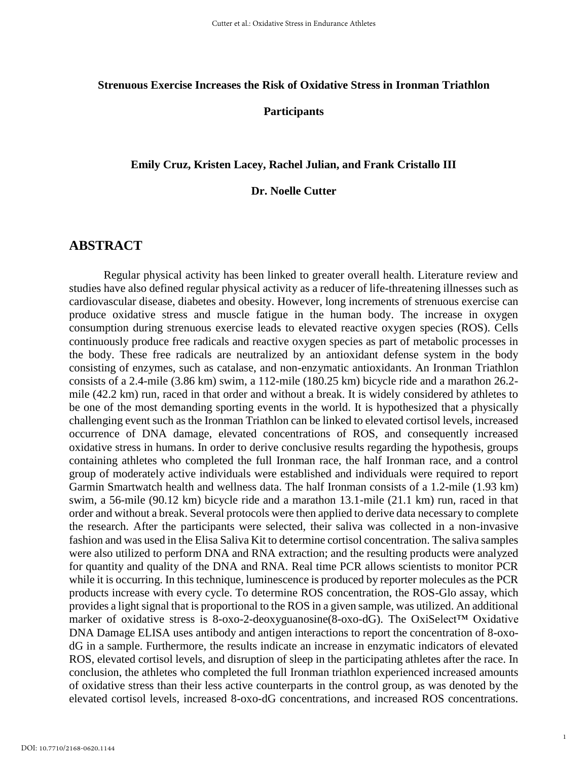#### **Strenuous Exercise Increases the Risk of Oxidative Stress in Ironman Triathlon**

#### **Participants**

#### **Emily Cruz, Kristen Lacey, Rachel Julian, and Frank Cristallo III**

#### **Dr. Noelle Cutter**

## **ABSTRACT**

Regular physical activity has been linked to greater overall health. Literature review and studies have also defined regular physical activity as a reducer of life-threatening illnesses such as cardiovascular disease, diabetes and obesity. However, long increments of strenuous exercise can produce oxidative stress and muscle fatigue in the human body. The increase in oxygen consumption during strenuous exercise leads to elevated reactive oxygen species (ROS). Cells continuously produce free radicals and reactive oxygen species as part of metabolic processes in the body. These free radicals are neutralized by an antioxidant defense system in the body consisting of enzymes, such as catalase, and non-enzymatic antioxidants. An Ironman Triathlon consists of a 2.4-mile (3.86 km) swim, a 112-mile (180.25 km) bicycle ride and a marathon 26.2 mile (42.2 km) run, raced in that order and without a break. It is widely considered by athletes to be one of the most demanding sporting events in the world. It is hypothesized that a physically challenging event such as the Ironman Triathlon can be linked to elevated cortisol levels, increased occurrence of DNA damage, elevated concentrations of ROS, and consequently increased oxidative stress in humans. In order to derive conclusive results regarding the hypothesis, groups containing athletes who completed the full Ironman race, the half Ironman race, and a control group of moderately active individuals were established and individuals were required to report Garmin Smartwatch health and wellness data. The half Ironman consists of a 1.2-mile (1.93 km) swim, a 56-mile (90.12 km) bicycle ride and a marathon 13.1-mile (21.1 km) run, raced in that order and without a break. Several protocols were then applied to derive data necessary to complete the research. After the participants were selected, their saliva was collected in a non-invasive fashion and was used in the Elisa Saliva Kit to determine cortisol concentration. The saliva samples were also utilized to perform DNA and RNA extraction; and the resulting products were analyzed for quantity and quality of the DNA and RNA. Real time PCR allows scientists to monitor PCR while it is occurring. In this technique, luminescence is produced by reporter molecules as the PCR products increase with every cycle. To determine ROS concentration, the ROS-Glo assay, which provides a light signal that is proportional to the ROS in a given sample, was utilized. An additional marker of oxidative stress is 8-oxo-2-deoxyguanosine(8-oxo-dG). The OxiSelect™ Oxidative DNA Damage ELISA uses antibody and antigen interactions to report the concentration of 8-oxodG in a sample. Furthermore, the results indicate an increase in enzymatic indicators of elevated ROS, elevated cortisol levels, and disruption of sleep in the participating athletes after the race. In conclusion, the athletes who completed the full Ironman triathlon experienced increased amounts of oxidative stress than their less active counterparts in the control group, as was denoted by the elevated cortisol levels, increased 8-oxo-dG concentrations, and increased ROS concentrations.

1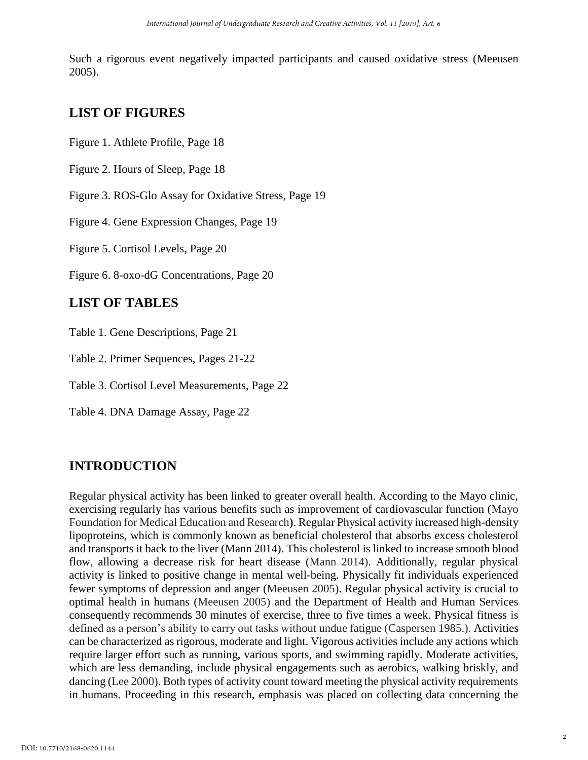Such a rigorous event negatively impacted participants and caused oxidative stress (Meeusen 2005).

## **LIST OF FIGURES**

Figure 1. Athlete Profile, Page 18

Figure 2. Hours of Sleep, Page 18

Figure 3. ROS-Glo Assay for Oxidative Stress, Page 19

Figure 4. Gene Expression Changes, Page 19

Figure 5. Cortisol Levels, Page 20

Figure 6. 8-oxo-dG Concentrations, Page 20

## **LIST OF TABLES**

Table 1. Gene Descriptions, Page 21

Table 2. Primer Sequences, Pages 21-22

Table 3. Cortisol Level Measurements, Page 22

Table 4. DNA Damage Assay, Page 22

## **INTRODUCTION**

Regular physical activity has been linked to greater overall health. According to the Mayo clinic, exercising regularly has various benefits such as improvement of cardiovascular function (Mayo Foundation for Medical Education and Research**)**. Regular Physical activity increased high-density lipoproteins, which is commonly known as beneficial cholesterol that absorbs excess cholesterol and transports it back to the liver (Mann 2014). This cholesterol is linked to increase smooth blood flow, allowing a decrease risk for heart disease (Mann 2014). Additionally, regular physical activity is linked to positive change in mental well-being. Physically fit individuals experienced fewer symptoms of depression and anger (Meeusen 2005). Regular physical activity is crucial to optimal health in humans (Meeusen 2005) and the Department of Health and Human Services consequently recommends 30 minutes of exercise, three to five times a week. Physical fitness is defined as a person's ability to carry out tasks without undue fatigue (Caspersen 1985.). Activities can be characterized as rigorous, moderate and light. Vigorous activities include any actions which require larger effort such as running, various sports, and swimming rapidly. Moderate activities, which are less demanding, include physical engagements such as aerobics, walking briskly, and dancing (Lee 2000). Both types of activity count toward meeting the physical activity requirements in humans. Proceeding in this research, emphasis was placed on collecting data concerning the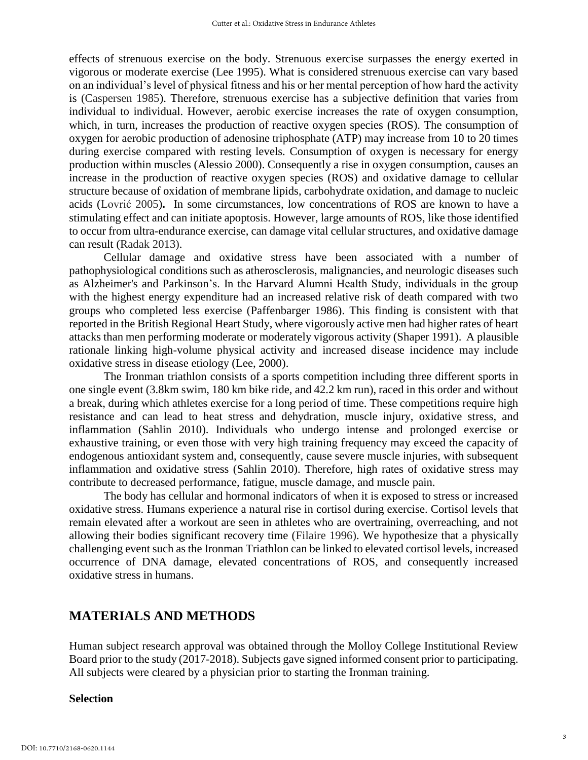effects of strenuous exercise on the body. Strenuous exercise surpasses the energy exerted in vigorous or moderate exercise (Lee 1995). What is considered strenuous exercise can vary based on an individual's level of physical fitness and his or her mental perception of how hard the activity is (Caspersen 1985). Therefore, strenuous exercise has a subjective definition that varies from individual to individual. However, aerobic exercise increases the rate of oxygen consumption, which, in turn, increases the production of reactive oxygen species (ROS). The consumption of oxygen for aerobic production of adenosine triphosphate (ATP) may increase from 10 to 20 times during exercise compared with resting levels. Consumption of oxygen is necessary for energy production within muscles (Alessio 2000). Consequently a rise in oxygen consumption, causes an increase in the production of reactive oxygen species (ROS) and oxidative damage to cellular structure because of oxidation of membrane lipids, carbohydrate oxidation, and damage to nucleic acids (Lovrić 2005)**.** In some circumstances, low concentrations of ROS are known to have a stimulating effect and can initiate apoptosis. However, large amounts of ROS, like those identified to occur from ultra-endurance exercise, can damage vital cellular structures, and oxidative damage can result (Radak 2013).

Cellular damage and oxidative stress have been associated with a number of pathophysiological conditions such as atherosclerosis, malignancies, and neurologic diseases such as Alzheimer's and Parkinson's. In the Harvard Alumni Health Study, individuals in the group with the highest energy expenditure had an increased relative risk of death compared with two groups who completed less exercise (Paffenbarger 1986). This finding is consistent with that reported in the British Regional Heart Study, where vigorously active men had higher rates of heart attacks than men performing moderate or moderately vigorous activity (Shaper 1991). A plausible rationale linking high-volume physical activity and increased disease incidence may include oxidative stress in disease etiology (Lee, 2000).

The Ironman triathlon consists of a sports competition including three different sports in one single event (3.8km swim, 180 km bike ride, and 42.2 km run), raced in this order and without a break, during which athletes exercise for a long period of time. These competitions require high resistance and can lead to heat stress and dehydration, muscle injury, oxidative stress, and inflammation (Sahlin 2010). Individuals who undergo intense and prolonged exercise or exhaustive training, or even those with very high training frequency may exceed the capacity of endogenous antioxidant system and, consequently, cause severe muscle injuries, with subsequent inflammation and oxidative stress (Sahlin 2010). Therefore, high rates of oxidative stress may contribute to decreased performance, fatigue, muscle damage, and muscle pain.

The body has cellular and hormonal indicators of when it is exposed to stress or increased oxidative stress. Humans experience a natural rise in cortisol during exercise. Cortisol levels that remain elevated after a workout are seen in athletes who are overtraining, overreaching, and not allowing their bodies significant recovery time (Filaire 1996). We hypothesize that a physically challenging event such as the Ironman Triathlon can be linked to elevated cortisol levels, increased occurrence of DNA damage, elevated concentrations of ROS, and consequently increased oxidative stress in humans.

## **MATERIALS AND METHODS**

Human subject research approval was obtained through the Molloy College Institutional Review Board prior to the study (2017-2018). Subjects gave signed informed consent prior to participating. All subjects were cleared by a physician prior to starting the Ironman training.

#### **Selection**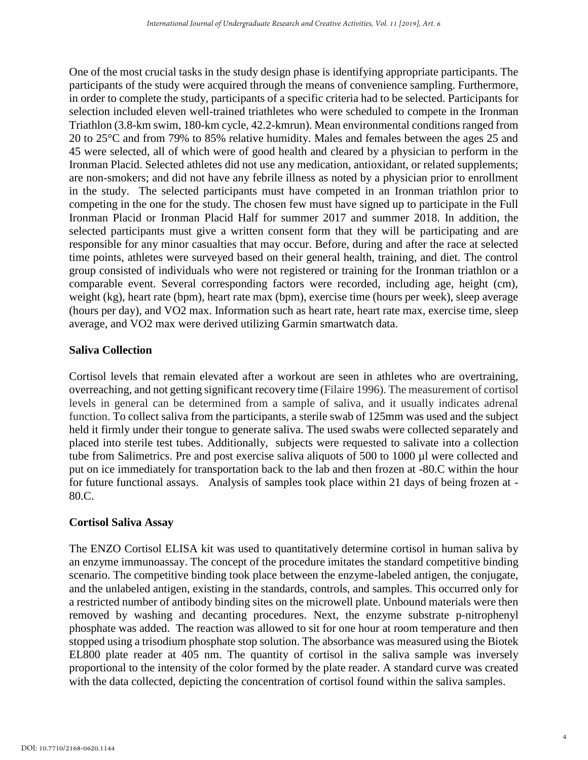One of the most crucial tasks in the study design phase is identifying appropriate participants. The participants of the study were acquired through the means of convenience sampling. Furthermore, in order to complete the study, participants of a specific criteria had to be selected. Participants for selection included eleven well-trained triathletes who were scheduled to compete in the Ironman Triathlon (3.8-km swim, 180-km cycle, 42.2-kmrun). Mean environmental conditions ranged from 20 to 25°C and from 79% to 85% relative humidity. Males and females between the ages 25 and 45 were selected, all of which were of good health and cleared by a physician to perform in the Ironman Placid. Selected athletes did not use any medication, antioxidant, or related supplements; are non-smokers; and did not have any febrile illness as noted by a physician prior to enrollment in the study. The selected participants must have competed in an Ironman triathlon prior to competing in the one for the study. The chosen few must have signed up to participate in the Full Ironman Placid or Ironman Placid Half for summer 2017 and summer 2018. In addition, the selected participants must give a written consent form that they will be participating and are responsible for any minor casualties that may occur. Before, during and after the race at selected time points, athletes were surveyed based on their general health, training, and diet. The control group consisted of individuals who were not registered or training for the Ironman triathlon or a comparable event. Several corresponding factors were recorded, including age, height (cm), weight (kg), heart rate (bpm), heart rate max (bpm), exercise time (hours per week), sleep average (hours per day), and VO2 max. Information such as heart rate, heart rate max, exercise time, sleep average, and VO2 max were derived utilizing Garmin smartwatch data.

## **Saliva Collection**

Cortisol levels that remain elevated after a workout are seen in athletes who are overtraining, overreaching, and not getting significant recovery time (Filaire 1996). The measurement of cortisol levels in general can be determined from a sample of saliva, and it usually indicates adrenal function. To collect saliva from the participants, a sterile swab of 125mm was used and the subject held it firmly under their tongue to generate saliva. The used swabs were collected separately and placed into sterile test tubes. Additionally, subjects were requested to salivate into a collection tube from Salimetrics. Pre and post exercise saliva aliquots of 500 to 1000 µl were collected and put on ice immediately for transportation back to the lab and then frozen at -80.C within the hour for future functional assays. Analysis of samples took place within 21 days of being frozen at - 80.C.

## **Cortisol Saliva Assay**

The ENZO Cortisol ELISA kit was used to quantitatively determine cortisol in human saliva by an enzyme immunoassay. The concept of the procedure imitates the standard competitive binding scenario. The competitive binding took place between the enzyme-labeled antigen, the conjugate, and the unlabeled antigen, existing in the standards, controls, and samples. This occurred only for a restricted number of antibody binding sites on the microwell plate. Unbound materials were then removed by washing and decanting procedures. Next, the enzyme substrate p-nitrophenyl phosphate was added. The reaction was allowed to sit for one hour at room temperature and then stopped using a trisodium phosphate stop solution. The absorbance was measured using the Biotek EL800 plate reader at 405 nm. The quantity of cortisol in the saliva sample was inversely proportional to the intensity of the color formed by the plate reader. A standard curve was created with the data collected, depicting the concentration of cortisol found within the saliva samples.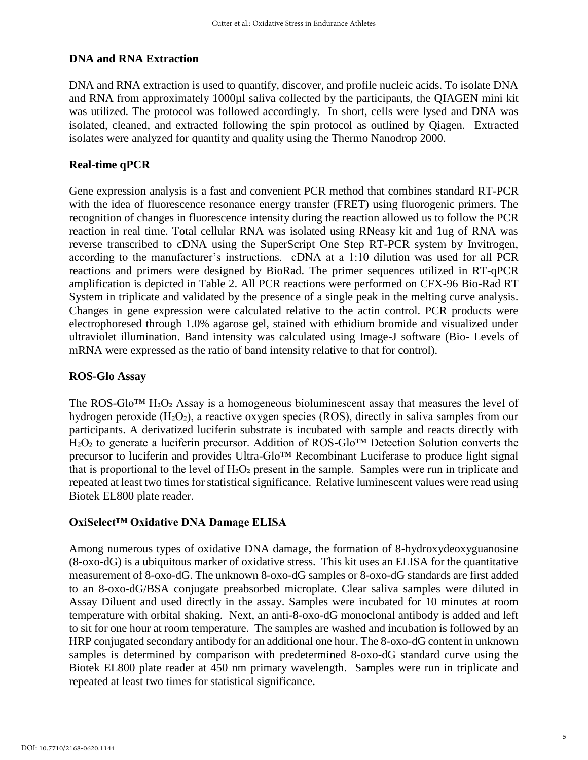## **DNA and RNA Extraction**

DNA and RNA extraction is used to quantify, discover, and profile nucleic acids. To isolate DNA and RNA from approximately 1000µl saliva collected by the participants, the QIAGEN mini kit was utilized. The protocol was followed accordingly. In short, cells were lysed and DNA was isolated, cleaned, and extracted following the spin protocol as outlined by Qiagen. Extracted isolates were analyzed for quantity and quality using the Thermo Nanodrop 2000.

### **Real-time qPCR**

Gene expression analysis is a fast and convenient PCR method that combines standard RT-PCR with the idea of fluorescence resonance energy transfer (FRET) using fluorogenic primers. The recognition of changes in fluorescence intensity during the reaction allowed us to follow the PCR reaction in real time. Total cellular RNA was isolated using RNeasy kit and 1ug of RNA was reverse transcribed to cDNA using the SuperScript One Step RT-PCR system by Invitrogen, according to the manufacturer's instructions. cDNA at a 1:10 dilution was used for all PCR reactions and primers were designed by BioRad. The primer sequences utilized in RT-qPCR amplification is depicted in Table 2. All PCR reactions were performed on CFX-96 Bio-Rad RT System in triplicate and validated by the presence of a single peak in the melting curve analysis. Changes in gene expression were calculated relative to the actin control. PCR products were electrophoresed through 1.0% agarose gel, stained with ethidium bromide and visualized under ultraviolet illumination. Band intensity was calculated using Image-J software (Bio- Levels of mRNA were expressed as the ratio of band intensity relative to that for control).

#### **ROS-Glo Assay**

The ROS-Glo<sup>TM</sup> H<sub>2</sub>O<sub>2</sub> Assay is a homogeneous bioluminescent assay that measures the level of hydrogen peroxide (H<sub>2</sub>O<sub>2</sub>), a reactive oxygen species (ROS), directly in saliva samples from our participants. A derivatized luciferin substrate is incubated with sample and reacts directly with H<sub>2</sub>O<sub>2</sub> to generate a luciferin precursor. Addition of ROS-Glo<sup>™</sup> Detection Solution converts the precursor to luciferin and provides Ultra-Glo™ Recombinant Luciferase to produce light signal that is proportional to the level of  $H_2O_2$  present in the sample. Samples were run in triplicate and repeated at least two times for statistical significance. Relative luminescent values were read using Biotek EL800 plate reader.

## **OxiSelect™ Oxidative DNA Damage ELISA**

Among numerous types of oxidative DNA damage, the formation of 8-hydroxydeoxyguanosine (8-oxo-dG) is a ubiquitous marker of oxidative stress. This kit uses an ELISA for the quantitative measurement of 8-oxo-dG. The unknown 8-oxo-dG samples or 8-oxo-dG standards are first added to an 8-oxo-dG/BSA conjugate preabsorbed microplate. Clear saliva samples were diluted in Assay Diluent and used directly in the assay. Samples were incubated for 10 minutes at room temperature with orbital shaking. Next, an anti-8-oxo-dG monoclonal antibody is added and left to sit for one hour at room temperature. The samples are washed and incubation is followed by an HRP conjugated secondary antibody for an additional one hour. The 8-oxo-dG content in unknown samples is determined by comparison with predetermined 8-oxo-dG standard curve using the Biotek EL800 plate reader at 450 nm primary wavelength. Samples were run in triplicate and repeated at least two times for statistical significance.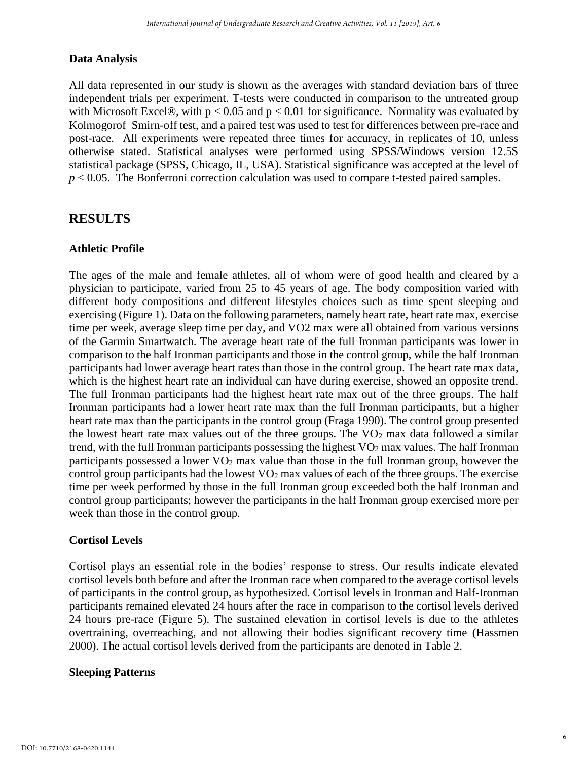## **Data Analysis**

All data represented in our study is shown as the averages with standard deviation bars of three independent trials per experiment. T-tests were conducted in comparison to the untreated group with Microsoft Excel**®**, with p < 0.05 and p < 0.01 for significance. Normality was evaluated by Kolmogorof–Smirn-off test, and a paired test was used to test for differences between pre-race and post-race. All experiments were repeated three times for accuracy, in replicates of 10, unless otherwise stated. Statistical analyses were performed using SPSS/Windows version 12.5S statistical package (SPSS, Chicago, IL, USA). Statistical significance was accepted at the level of *p* < 0.05. The Bonferroni correction calculation was used to compare t-tested paired samples.

## **RESULTS**

## **Athletic Profile**

The ages of the male and female athletes, all of whom were of good health and cleared by a physician to participate, varied from 25 to 45 years of age. The body composition varied with different body compositions and different lifestyles choices such as time spent sleeping and exercising (Figure 1). Data on the following parameters, namely heart rate, heart rate max, exercise time per week, average sleep time per day, and VO2 max were all obtained from various versions of the Garmin Smartwatch. The average heart rate of the full Ironman participants was lower in comparison to the half Ironman participants and those in the control group, while the half Ironman participants had lower average heart rates than those in the control group. The heart rate max data, which is the highest heart rate an individual can have during exercise, showed an opposite trend. The full Ironman participants had the highest heart rate max out of the three groups. The half Ironman participants had a lower heart rate max than the full Ironman participants, but a higher heart rate max than the participants in the control group (Fraga 1990). The control group presented the lowest heart rate max values out of the three groups. The  $VO<sub>2</sub>$  max data followed a similar trend, with the full Ironman participants possessing the highest  $VO<sub>2</sub>$  max values. The half Ironman participants possessed a lower  $VO<sub>2</sub>$  max value than those in the full Ironman group, however the control group participants had the lowest  $VO<sub>2</sub>$  max values of each of the three groups. The exercise time per week performed by those in the full Ironman group exceeded both the half Ironman and control group participants; however the participants in the half Ironman group exercised more per week than those in the control group.

## **Cortisol Levels**

Cortisol plays an essential role in the bodies' response to stress. Our results indicate elevated cortisol levels both before and after the Ironman race when compared to the average cortisol levels of participants in the control group, as hypothesized. Cortisol levels in Ironman and Half-Ironman participants remained elevated 24 hours after the race in comparison to the cortisol levels derived 24 hours pre-race (Figure 5). The sustained elevation in cortisol levels is due to the athletes overtraining, overreaching, and not allowing their bodies significant recovery time (Hassmen 2000). The actual cortisol levels derived from the participants are denoted in Table 2.

## **Sleeping Patterns**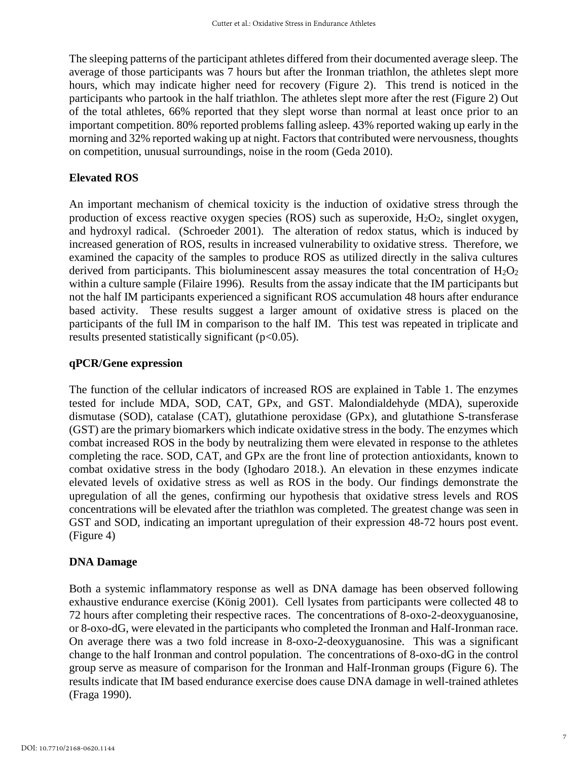The sleeping patterns of the participant athletes differed from their documented average sleep. The average of those participants was 7 hours but after the Ironman triathlon, the athletes slept more hours, which may indicate higher need for recovery (Figure 2). This trend is noticed in the participants who partook in the half triathlon. The athletes slept more after the rest (Figure 2) Out of the total athletes, 66% reported that they slept worse than normal at least once prior to an important competition. 80% reported problems falling asleep. 43% reported waking up early in the morning and 32% reported waking up at night. Factors that contributed were nervousness, thoughts on competition, unusual surroundings, noise in the room (Geda 2010).

## **Elevated ROS**

An important mechanism of chemical toxicity is the induction of oxidative stress through the production of excess reactive oxygen species (ROS) such as superoxide,  $H_2O_2$ , singlet oxygen, and hydroxyl radical. (Schroeder 2001).The alteration of redox status, which is induced by increased generation of ROS, results in increased vulnerability to oxidative stress. Therefore, we examined the capacity of the samples to produce ROS as utilized directly in the saliva cultures derived from participants. This bioluminescent assay measures the total concentration of  $H_2O_2$ within a culture sample (Filaire 1996). Results from the assay indicate that the IM participants but not the half IM participants experienced a significant ROS accumulation 48 hours after endurance based activity. These results suggest a larger amount of oxidative stress is placed on the participants of the full IM in comparison to the half IM. This test was repeated in triplicate and results presented statistically significant  $(p<0.05)$ .

#### **qPCR/Gene expression**

The function of the cellular indicators of increased ROS are explained in Table 1. The enzymes tested for include MDA, SOD, CAT, GPx, and GST. Malondialdehyde (MDA), superoxide dismutase (SOD), catalase (CAT), glutathione peroxidase (GPx), and glutathione S-transferase (GST) are the primary biomarkers which indicate oxidative stress in the body. The enzymes which combat increased ROS in the body by neutralizing them were elevated in response to the athletes completing the race. SOD, CAT, and GPx are the front line of protection antioxidants, known to combat oxidative stress in the body (Ighodaro 2018.). An elevation in these enzymes indicate elevated levels of oxidative stress as well as ROS in the body. Our findings demonstrate the upregulation of all the genes, confirming our hypothesis that oxidative stress levels and ROS concentrations will be elevated after the triathlon was completed. The greatest change was seen in GST and SOD, indicating an important upregulation of their expression 48-72 hours post event. (Figure 4)

## **DNA Damage**

Both a systemic inflammatory response as well as DNA damage has been observed following exhaustive endurance exercise (König 2001). Cell lysates from participants were collected 48 to 72 hours after completing their respective races. The concentrations of 8-oxo-2-deoxyguanosine, or 8-oxo-dG, were elevated in the participants who completed the Ironman and Half-Ironman race. On average there was a two fold increase in 8-oxo-2-deoxyguanosine. This was a significant change to the half Ironman and control population. The concentrations of 8-oxo-dG in the control group serve as measure of comparison for the Ironman and Half-Ironman groups (Figure 6). The results indicate that IM based endurance exercise does cause DNA damage in well-trained athletes (Fraga 1990).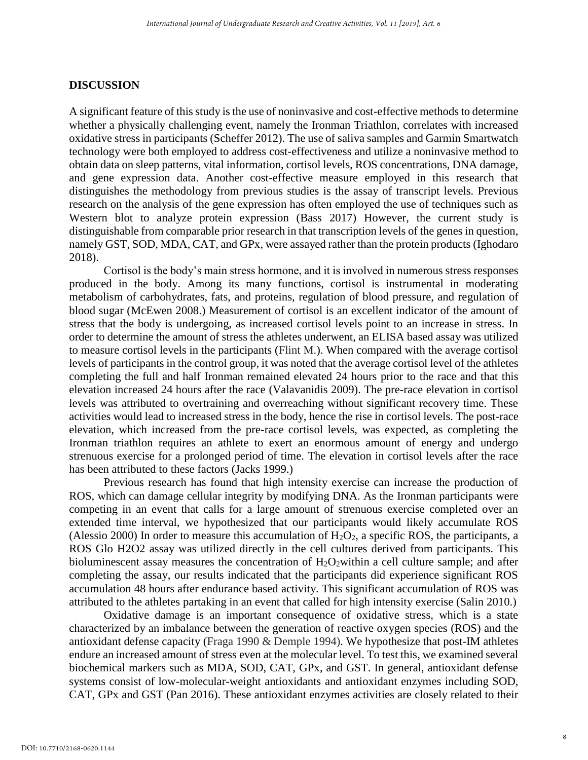#### **DISCUSSION**

A significant feature of this study is the use of noninvasive and cost-effective methods to determine whether a physically challenging event, namely the Ironman Triathlon, correlates with increased oxidative stress in participants (Scheffer 2012). The use of saliva samples and Garmin Smartwatch technology were both employed to address cost-effectiveness and utilize a noninvasive method to obtain data on sleep patterns, vital information, cortisol levels, ROS concentrations, DNA damage, and gene expression data. Another cost-effective measure employed in this research that distinguishes the methodology from previous studies is the assay of transcript levels. Previous research on the analysis of the gene expression has often employed the use of techniques such as Western blot to analyze protein expression (Bass 2017) However, the current study is distinguishable from comparable prior research in that transcription levels of the genes in question, namely GST, SOD, MDA, CAT, and GPx, were assayed rather than the protein products (Ighodaro 2018).

Cortisol is the body's main stress hormone, and it is involved in numerous stress responses produced in the body. Among its many functions, cortisol is instrumental in moderating metabolism of carbohydrates, fats, and proteins, regulation of blood pressure, and regulation of blood sugar (McEwen 2008.) Measurement of cortisol is an excellent indicator of the amount of stress that the body is undergoing, as increased cortisol levels point to an increase in stress. In order to determine the amount of stress the athletes underwent, an ELISA based assay was utilized to measure cortisol levels in the participants (Flint M.). When compared with the average cortisol levels of participants in the control group, it was noted that the average cortisol level of the athletes completing the full and half Ironman remained elevated 24 hours prior to the race and that this elevation increased 24 hours after the race (Valavanidis 2009). The pre-race elevation in cortisol levels was attributed to overtraining and overreaching without significant recovery time. These activities would lead to increased stress in the body, hence the rise in cortisol levels. The post-race elevation, which increased from the pre-race cortisol levels, was expected, as completing the Ironman triathlon requires an athlete to exert an enormous amount of energy and undergo strenuous exercise for a prolonged period of time. The elevation in cortisol levels after the race has been attributed to these factors (Jacks 1999.)

Previous research has found that high intensity exercise can increase the production of ROS, which can damage cellular integrity by modifying DNA. As the Ironman participants were competing in an event that calls for a large amount of strenuous exercise completed over an extended time interval, we hypothesized that our participants would likely accumulate ROS (Alessio 2000) In order to measure this accumulation of  $H_2O_2$ , a specific ROS, the participants, a ROS Glo H2O2 assay was utilized directly in the cell cultures derived from participants. This bioluminescent assay measures the concentration of  $H_2O_2$  within a cell culture sample; and after completing the assay, our results indicated that the participants did experience significant ROS accumulation 48 hours after endurance based activity. This significant accumulation of ROS was attributed to the athletes partaking in an event that called for high intensity exercise (Salin 2010.)

Oxidative damage is an important consequence of oxidative stress, which is a state characterized by an imbalance between the generation of reactive oxygen species (ROS) and the antioxidant defense capacity (Fraga 1990 & Demple 1994). We hypothesize that post-IM athletes endure an increased amount of stress even at the molecular level. To test this, we examined several biochemical markers such as MDA, SOD, CAT, GPx, and GST. In general, antioxidant defense systems consist of low-molecular-weight antioxidants and antioxidant enzymes including SOD, CAT, GPx and GST (Pan 2016). These antioxidant enzymes activities are closely related to their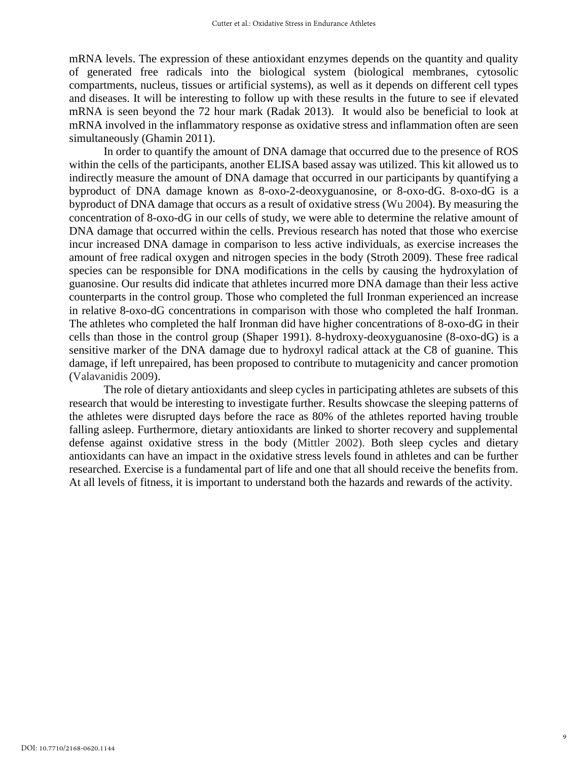mRNA levels. The expression of these antioxidant enzymes depends on the quantity and quality of generated free radicals into the biological system (biological membranes, cytosolic compartments, nucleus, tissues or artificial systems), as well as it depends on different cell types and diseases. It will be interesting to follow up with these results in the future to see if elevated mRNA is seen beyond the 72 hour mark (Radak 2013). It would also be beneficial to look at mRNA involved in the inflammatory response as oxidative stress and inflammation often are seen simultaneously (Ghamin 2011).

In order to quantify the amount of DNA damage that occurred due to the presence of ROS within the cells of the participants, another ELISA based assay was utilized. This kit allowed us to indirectly measure the amount of DNA damage that occurred in our participants by quantifying a byproduct of DNA damage known as 8-oxo-2-deoxyguanosine, or 8-oxo-dG. 8-oxo-dG is a byproduct of DNA damage that occurs as a result of oxidative stress (Wu 2004). By measuring the concentration of 8-oxo-dG in our cells of study, we were able to determine the relative amount of DNA damage that occurred within the cells. Previous research has noted that those who exercise incur increased DNA damage in comparison to less active individuals, as exercise increases the amount of free radical oxygen and nitrogen species in the body (Stroth 2009). These free radical species can be responsible for DNA modifications in the cells by causing the hydroxylation of guanosine. Our results did indicate that athletes incurred more DNA damage than their less active counterparts in the control group. Those who completed the full Ironman experienced an increase in relative 8-oxo-dG concentrations in comparison with those who completed the half Ironman. The athletes who completed the half Ironman did have higher concentrations of 8-oxo-dG in their cells than those in the control group (Shaper 1991). 8-hydroxy-deoxyguanosine (8-oxo-dG) is a sensitive marker of the DNA damage due to hydroxyl radical attack at the C8 of guanine. This damage, if left unrepaired, has been proposed to contribute to mutagenicity and cancer promotion (Valavanidis 2009).

The role of dietary antioxidants and sleep cycles in participating athletes are subsets of this research that would be interesting to investigate further. Results showcase the sleeping patterns of the athletes were disrupted days before the race as 80% of the athletes reported having trouble falling asleep. Furthermore, dietary antioxidants are linked to shorter recovery and supplemental defense against oxidative stress in the body (Mittler 2002). Both sleep cycles and dietary antioxidants can have an impact in the oxidative stress levels found in athletes and can be further researched. Exercise is a fundamental part of life and one that all should receive the benefits from. At all levels of fitness, it is important to understand both the hazards and rewards of the activity.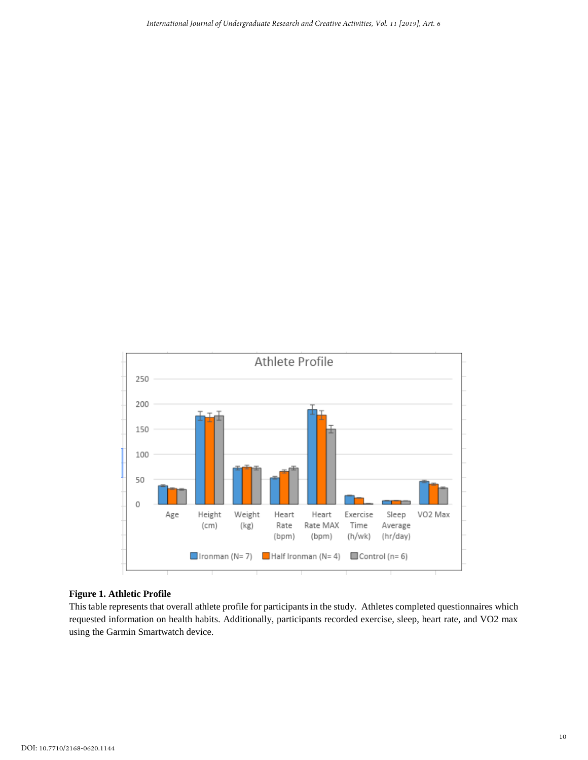

#### **Figure 1. Athletic Profile**

This table represents that overall athlete profile for participants in the study. Athletes completed questionnaires which requested information on health habits. Additionally, participants recorded exercise, sleep, heart rate, and VO2 max using the Garmin Smartwatch device.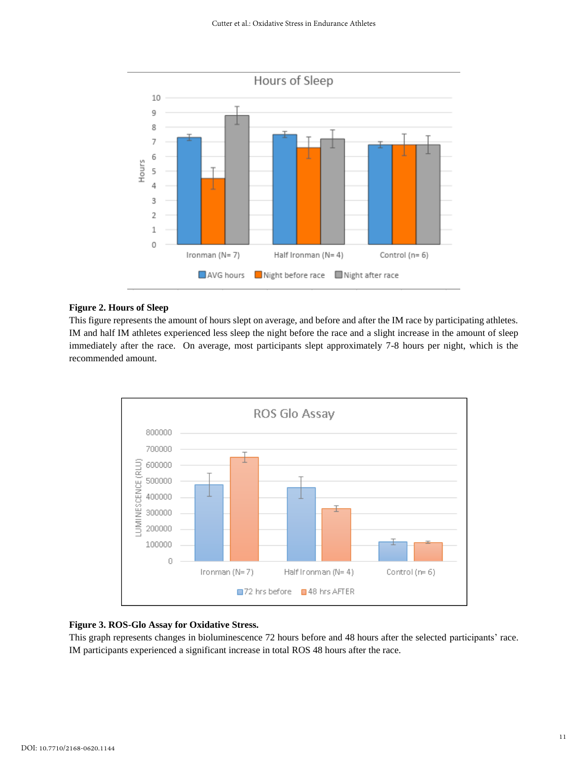

#### **Figure 2. Hours of Sleep**

This figure represents the amount of hours slept on average, and before and after the IM race by participating athletes. IM and half IM athletes experienced less sleep the night before the race and a slight increase in the amount of sleep immediately after the race. On average, most participants slept approximately 7-8 hours per night, which is the recommended amount.



#### **Figure 3. ROS-Glo Assay for Oxidative Stress.**

This graph represents changes in bioluminescence 72 hours before and 48 hours after the selected participants' race. IM participants experienced a significant increase in total ROS 48 hours after the race.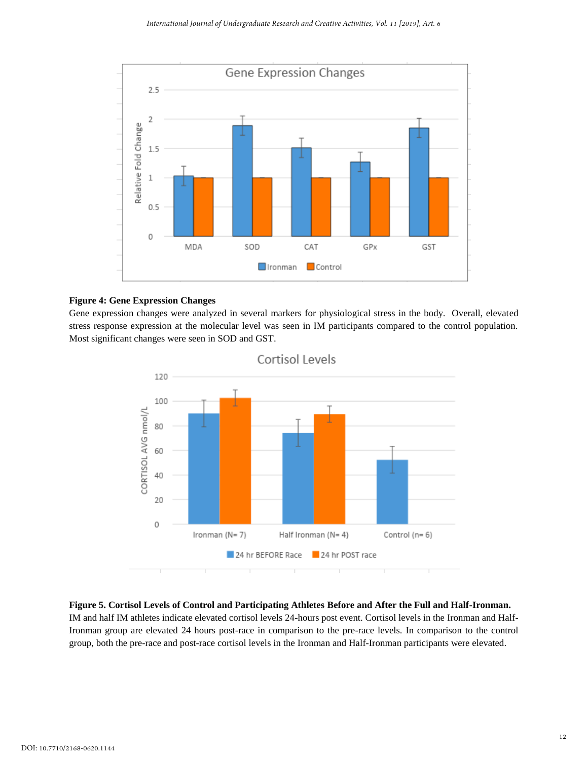

#### **Figure 4: Gene Expression Changes**

Gene expression changes were analyzed in several markers for physiological stress in the body. Overall, elevated stress response expression at the molecular level was seen in IM participants compared to the control population. Most significant changes were seen in SOD and GST.



#### **Figure 5. Cortisol Levels of Control and Participating Athletes Before and After the Full and Half-Ironman.**

IM and half IM athletes indicate elevated cortisol levels 24-hours post event. Cortisol levels in the Ironman and Half-Ironman group are elevated 24 hours post-race in comparison to the pre-race levels. In comparison to the control group, both the pre-race and post-race cortisol levels in the Ironman and Half-Ironman participants were elevated.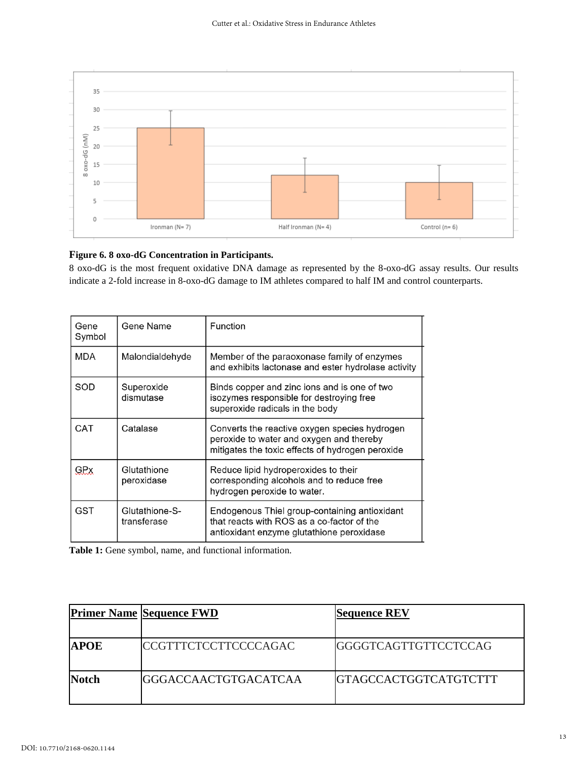

#### **Figure 6. 8 oxo-dG Concentration in Participants.**

8 oxo-dG is the most frequent oxidative DNA damage as represented by the 8-oxo-dG assay results. Our results indicate a 2-fold increase in 8-oxo-dG damage to IM athletes compared to half IM and control counterparts.

| Gene<br>Symbol | Gene Name                     | Function                                                                                                                                      |
|----------------|-------------------------------|-----------------------------------------------------------------------------------------------------------------------------------------------|
| MDA            | Malondialdehyde               | Member of the paraoxonase family of enzymes<br>and exhibits lactonase and ester hydrolase activity                                            |
| SOD            | Superoxide<br>dismutase       | Binds copper and zinc ions and is one of two<br>isozymes responsible for destroying free<br>superoxide radicals in the body                   |
| CAT            | Catalase                      | Converts the reactive oxygen species hydrogen<br>peroxide to water and oxygen and thereby<br>mitigates the toxic effects of hydrogen peroxide |
| GRX            | Glutathione<br>peroxidase     | Reduce lipid hydroperoxides to their<br>corresponding alcohols and to reduce free<br>hydrogen peroxide to water.                              |
| GST            | Glutathione-S-<br>transferase | Endogenous Thiel group-containing antioxidant<br>that reacts with ROS as a co-factor of the<br>antioxidant enzyme glutathione peroxidase      |

**Table 1:** Gene symbol, name, and functional information.

|              | <b>Primer Name Sequence FWD</b> | <b>Sequence REV</b>           |
|--------------|---------------------------------|-------------------------------|
| <b>APOE</b>  | <b>CCGTTTCTCCTTCCCCAGAC</b>     | <b>GGGGTCAGTTGTTCCTCCAG</b>   |
| <b>Notch</b> | <b>IGGGACCAACTGTGACATCAA</b>    | <b>IGTAGCCACTGGTCATGTCTTT</b> |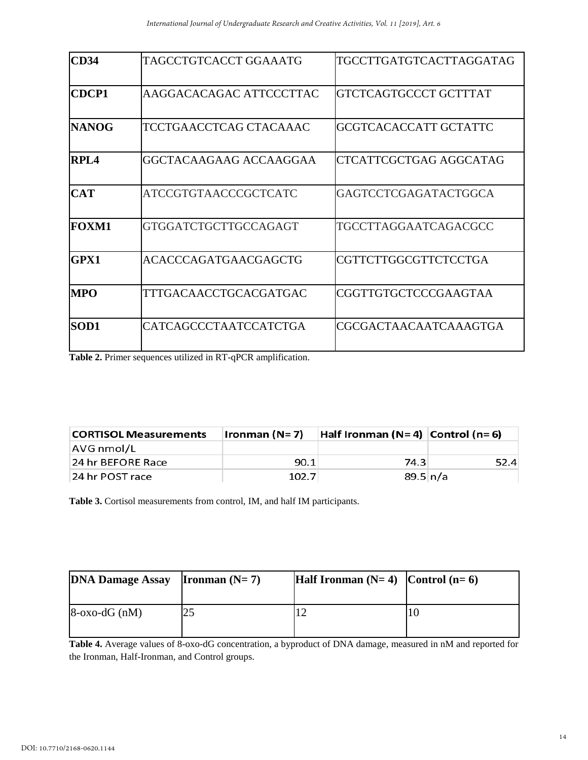| CD34         | TAGCCTGTCACCT GGAAATG       | TGCCTTGATGTCACTTAGGATAG |
|--------------|-----------------------------|-------------------------|
| <b>CDCP1</b> | AAGGACACAGAC ATTCCCTTAC     | GTCTCAGTGCCCT GCTTTAT   |
| <b>NANOG</b> | TCCTGAACCTCAG CTACAAAC      | GCGTCACACCATT GCTATTC   |
| <b>RPL4</b>  | GGCTACAAGAAG ACCAAGGAA      | CTCATTCGCTGAG AGGCATAG  |
| <b>CAT</b>   | ATCCGTGTAACCCGCTCATC        | GAGTCCTCGAGATACTGGCA    |
| <b>FOXM1</b> | <b>GTGGATCTGCTTGCCAGAGT</b> | TGCCTTAGGAATCAGACGCC    |
| GPX1         | <b>ACACCCAGATGAACGAGCTG</b> | CGTTCTTGGCGTTCTCCTGA    |
| <b>MPO</b>   | TTTGACAACCTGCACGATGAC       | CGGTTGTGCTCCCGAAGTAA    |
| <b>SOD1</b>  | CATCAGCCCTAATCCATCTGA       | CGCGACTAACAATCAAAGTGA   |

**Table 2.** Primer sequences utilized in RT-qPCR amplification.

| <b>CORTISOL Measurements</b> | Ironman (N= 7) | Half Ironman (N=4)   Control (n=6) |      |
|------------------------------|----------------|------------------------------------|------|
| AVG nmol/L                   |                |                                    |      |
| 24 hr BEFORE Race            | 90.1           | 74.3                               | 52.4 |
| 24 hr POST race              | 102.7          | $89.5 \, n/a$                      |      |

**Table 3.** Cortisol measurements from control, IM, and half IM participants.

| <b>DNA Damage Assay</b> | <b>Ironman</b> $(N=7)$ | Half Ironman $(N=4)$ Control $(n=6)$ |  |
|-------------------------|------------------------|--------------------------------------|--|
| $8$ -oxo-dG (nM)        |                        |                                      |  |

**Table 4.** Average values of 8-oxo-dG concentration, a byproduct of DNA damage, measured in nM and reported for the Ironman, Half-Ironman, and Control groups.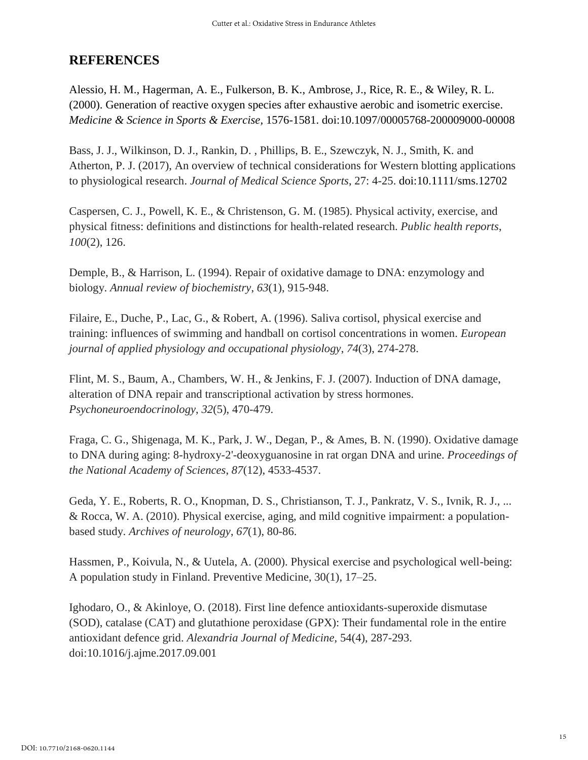## **REFERENCES**

Alessio, H. M., Hagerman, A. E., Fulkerson, B. K., Ambrose, J., Rice, R. E., & Wiley, R. L. (2000). Generation of reactive oxygen species after exhaustive aerobic and isometric exercise. *Medicine & Science in Sports & Exercise,* 1576-1581. doi:10.1097/00005768-200009000-00008

Bass, J. J., Wilkinson, D. J., Rankin, D. , Phillips, B. E., Szewczyk, N. J., Smith, K. and Atherton, P. J. (2017), An overview of technical considerations for Western blotting applications to physiological research. *Journal of Medical Science Sports*, 27: 4-25. doi[:10.1111/sms.12702](https://doi.org/10.1111/sms.12702)

Caspersen, C. J., Powell, K. E., & Christenson, G. M. (1985). Physical activity, exercise, and physical fitness: definitions and distinctions for health-related research. *Public health reports*, *100*(2), 126.

Demple, B., & Harrison, L. (1994). Repair of oxidative damage to DNA: enzymology and biology. *Annual review of biochemistry*, *63*(1), 915-948.

Filaire, E., Duche, P., Lac, G., & Robert, A. (1996). Saliva cortisol, physical exercise and training: influences of swimming and handball on cortisol concentrations in women. *European journal of applied physiology and occupational physiology*, *74*(3), 274-278.

Flint, M. S., Baum, A., Chambers, W. H., & Jenkins, F. J. (2007). Induction of DNA damage, alteration of DNA repair and transcriptional activation by stress hormones. *Psychoneuroendocrinology*, *32*(5), 470-479.

Fraga, C. G., Shigenaga, M. K., Park, J. W., Degan, P., & Ames, B. N. (1990). Oxidative damage to DNA during aging: 8-hydroxy-2'-deoxyguanosine in rat organ DNA and urine. *Proceedings of the National Academy of Sciences*, *87*(12), 4533-4537.

Geda, Y. E., Roberts, R. O., Knopman, D. S., Christianson, T. J., Pankratz, V. S., Ivnik, R. J., ... & Rocca, W. A. (2010). Physical exercise, aging, and mild cognitive impairment: a populationbased study. *Archives of neurology*, *67*(1), 80-86.

Hassmen, P., Koivula, N., & Uutela, A. (2000). Physical exercise and psychological well-being: A population study in Finland. Preventive Medicine, 30(1), 17–25.

Ighodaro, O., & Akinloye, O. (2018). First line defence antioxidants-superoxide dismutase (SOD), catalase (CAT) and glutathione peroxidase (GPX): Their fundamental role in the entire antioxidant defence grid. *Alexandria Journal of Medicine*, 54(4), 287-293. doi:10.1016/j.ajme.2017.09.001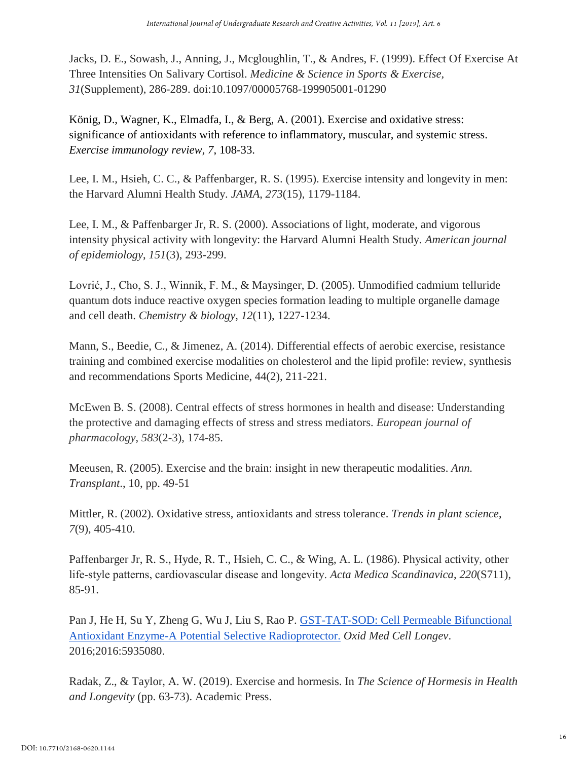Jacks, D. E., Sowash, J., Anning, J., Mcgloughlin, T., & Andres, F. (1999). Effect Of Exercise At Three Intensities On Salivary Cortisol. *Medicine & Science in Sports & Exercise, 31*(Supplement), 286-289. doi:10.1097/00005768-199905001-01290

König, D., Wagner, K., Elmadfa, I., & Berg, A. (2001). Exercise and oxidative stress: significance of antioxidants with reference to inflammatory, muscular, and systemic stress. *Exercise immunology review, 7*, 108-33.

Lee, I. M., Hsieh, C. C., & Paffenbarger, R. S. (1995). Exercise intensity and longevity in men: the Harvard Alumni Health Study. *JAMA*, *273*(15), 1179-1184.

Lee, I. M., & Paffenbarger Jr, R. S. (2000). Associations of light, moderate, and vigorous intensity physical activity with longevity: the Harvard Alumni Health Study. *American journal of epidemiology*, *151*(3), 293-299.

Lovrić, J., Cho, S. J., Winnik, F. M., & Maysinger, D. (2005). Unmodified cadmium telluride quantum dots induce reactive oxygen species formation leading to multiple organelle damage and cell death. *Chemistry & biology*, *12*(11), 1227-1234.

Mann, S., Beedie, C., & Jimenez, A. (2014). Differential effects of aerobic exercise, resistance training and combined exercise modalities on cholesterol and the lipid profile: review, synthesis and recommendations Sports Medicine, 44(2), 211-221.

McEwen B. S. (2008). Central effects of stress hormones in health and disease: Understanding the protective and damaging effects of stress and stress mediators. *European journal of pharmacology*, *583*(2-3), 174-85.

Meeusen, R. (2005). Exercise and the brain: insight in new therapeutic modalities. *Ann. Transplant*., 10, pp. 49-51

Mittler, R. (2002). Oxidative stress, antioxidants and stress tolerance. *Trends in plant science*, *7*(9), 405-410.

Paffenbarger Jr, R. S., Hyde, R. T., Hsieh, C. C., & Wing, A. L. (1986). Physical activity, other life‐style patterns, cardiovascular disease and longevity. *Acta Medica Scandinavica*, *220*(S711), 85-91.

Pan J, He H, Su Y, Zheng G, Wu J, Liu S, Rao P. [GST-TAT-SOD: Cell Permeable Bifunctional](https://www.ncbi.nlm.nih.gov/pubmed/27313832)  [Antioxidant Enzyme-A Potential Selective Radioprotector.](https://www.ncbi.nlm.nih.gov/pubmed/27313832) *Oxid Med Cell Longev*. 2016;2016:5935080.

Radak, Z., & Taylor, A. W. (2019). Exercise and hormesis. In *The Science of Hormesis in Health and Longevity* (pp. 63-73). Academic Press.